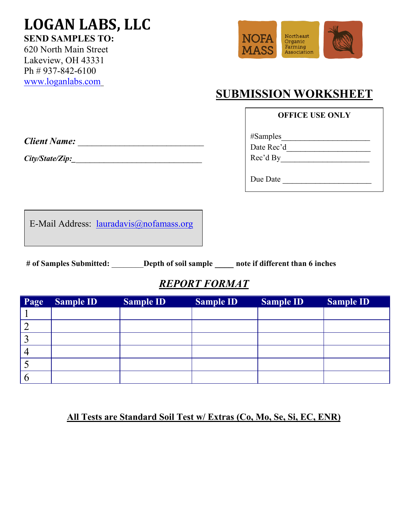# **LOGAN LABS, LLC SEND SAMPLES TO:**

620 North Main Street Lakeview, OH 43331 Ph # 937-842-6100 [www.loganlabs.com](http://www.loganlabs.com/)



# **SUBMISSION WORKSHEET**

#### **OFFICE USE ONLY**

*Client Name:* \_\_\_\_\_\_\_\_\_\_\_\_\_\_\_\_\_\_\_\_\_\_\_\_\_\_\_

*City/State/Zip:\_*\_\_\_\_\_\_\_\_\_\_\_\_\_\_\_\_\_\_\_\_\_\_\_\_\_\_\_

| #Samples   |  |
|------------|--|
| Date Rec'd |  |
| Rec'd By   |  |
|            |  |
|            |  |

Due Date \_\_\_\_\_\_\_\_\_\_\_\_\_\_\_\_\_\_\_

E-Mail Address: [lauradavis@nofamass.org](mailto:lauradavis@nofamass.org)

**# of Samples Submitted:** \_\_\_\_\_\_\_\_**Depth of soil sample \_\_\_\_ note if different than 6 inches**

## *REPORT FORMAT*

| Page | <b>Sample ID</b> | <b>Sample ID</b> | <b>Sample ID</b> | <b>Sample ID</b> | <b>Sample ID</b> |
|------|------------------|------------------|------------------|------------------|------------------|
|      |                  |                  |                  |                  |                  |
|      |                  |                  |                  |                  |                  |
|      |                  |                  |                  |                  |                  |
|      |                  |                  |                  |                  |                  |
|      |                  |                  |                  |                  |                  |
|      |                  |                  |                  |                  |                  |

### **All Tests are Standard Soil Test w/ Extras (Co, Mo, Se, Si, EC, ENR)**